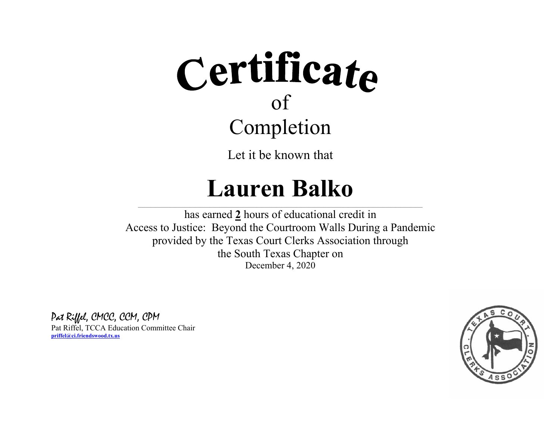Let it be known that

### **Lauren Balko**

 $\_$  , and the state of the state of the state of the state of the state of the state of the state of the state of the state of the state of the state of the state of the state of the state of the state of the state of the has earned **2** hours of educational credit in Access to Justice: Beyond the Courtroom Walls During a Pandemic provided by the Texas Court Clerks Association through the South Texas Chapter on December 4, 2020

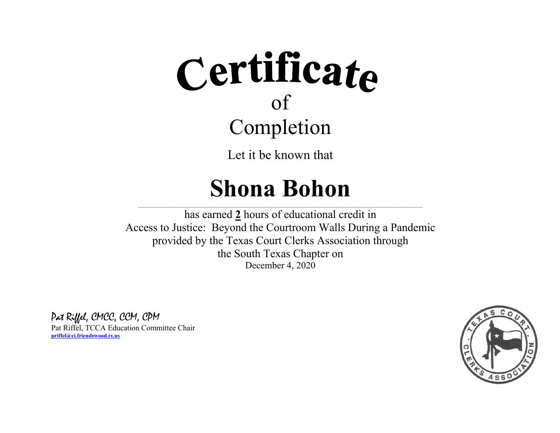Let it be known that

## **Shona Bohon**

 $\_$  , and the state of the state of the state of the state of the state of the state of the state of the state of the state of the state of the state of the state of the state of the state of the state of the state of the

has earned **2** hours of educational credit in Access to Justice: Beyond the Courtroom Walls During a Pandemic provided by the Texas Court Clerks Association through the South Texas Chapter on December 4, 2020

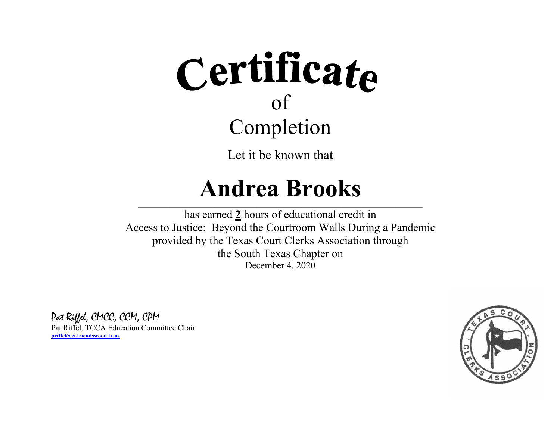Let it be known that

### **Andrea Brooks**

 $\_$  , and the state of the state of the state of the state of the state of the state of the state of the state of the state of the state of the state of the state of the state of the state of the state of the state of the has earned **2** hours of educational credit in Access to Justice: Beyond the Courtroom Walls During a Pandemic provided by the Texas Court Clerks Association through the South Texas Chapter on December 4, 2020

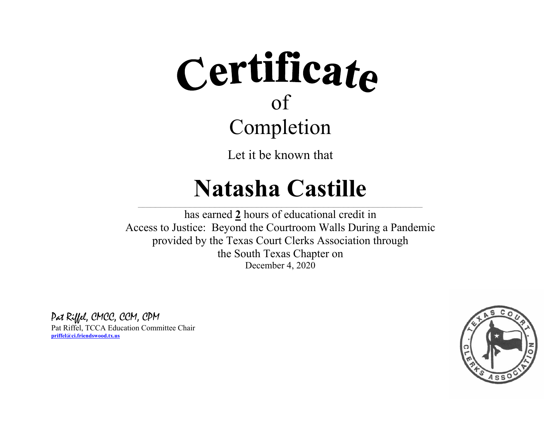Let it be known that

### **Natasha Castille**

 $\_$  , and the state of the state of the state of the state of the state of the state of the state of the state of the state of the state of the state of the state of the state of the state of the state of the state of the has earned **2** hours of educational credit in Access to Justice: Beyond the Courtroom Walls During a Pandemic provided by the Texas Court Clerks Association through the South Texas Chapter on December 4, 2020

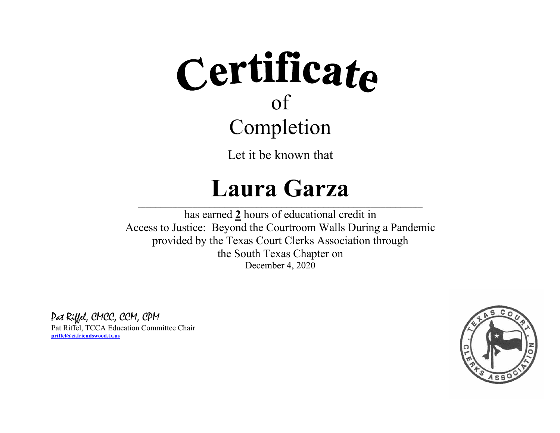Let it be known that

### **Laura Garza**

 $\_$  , and the state of the state of the state of the state of the state of the state of the state of the state of the state of the state of the state of the state of the state of the state of the state of the state of the has earned **2** hours of educational credit in Access to Justice: Beyond the Courtroom Walls During a Pandemic provided by the Texas Court Clerks Association through the South Texas Chapter on December 4, 2020

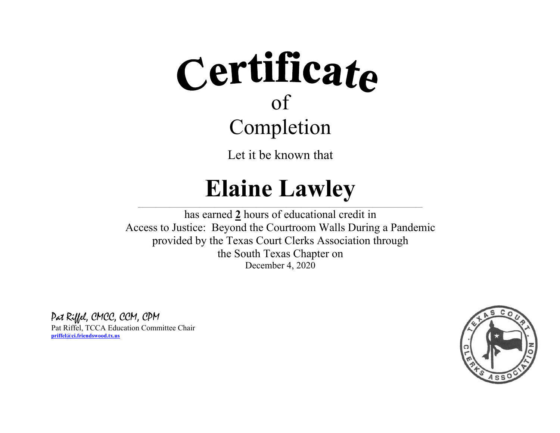Let it be known that

## **Elaine Lawley**

 $\_$  , and the state of the state of the state of the state of the state of the state of the state of the state of the state of the state of the state of the state of the state of the state of the state of the state of the has earned **2** hours of educational credit in Access to Justice: Beyond the Courtroom Walls During a Pandemic provided by the Texas Court Clerks Association through the South Texas Chapter on December 4, 2020

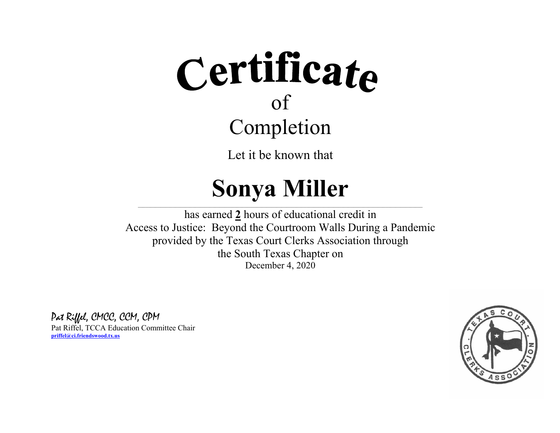Let it be known that

## **Sonya Miller**

 $\_$  , and the state of the state of the state of the state of the state of the state of the state of the state of the state of the state of the state of the state of the state of the state of the state of the state of the has earned **2** hours of educational credit in Access to Justice: Beyond the Courtroom Walls During a Pandemic provided by the Texas Court Clerks Association through the South Texas Chapter on December 4, 2020